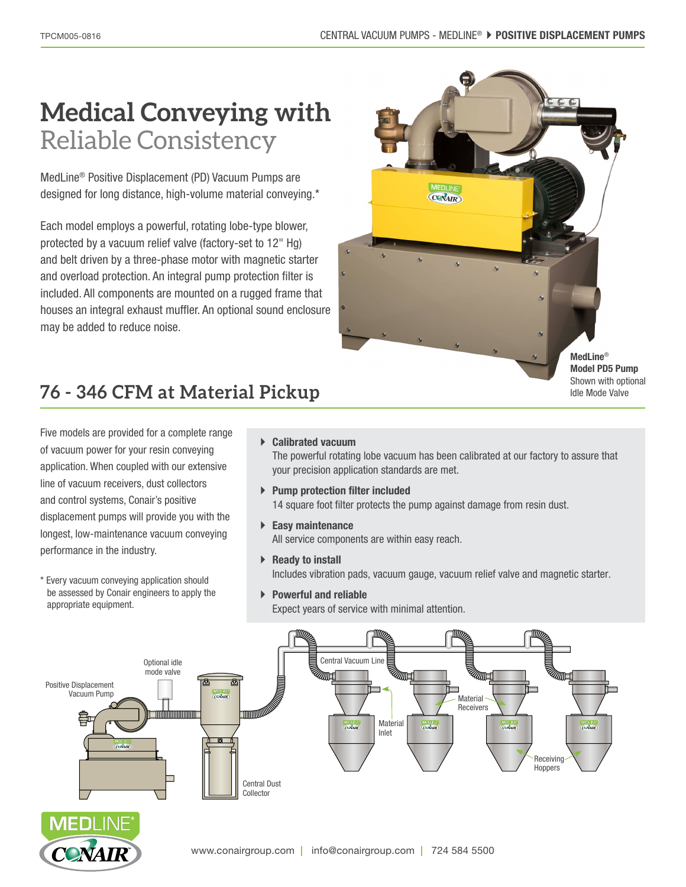Reliable Consistency

MedLine® Positive Displacement (PD) Vacuum Pumps are designed for long distance, high-volume material conveying.\*

Each model employs a powerful, rotating lobe-type blower, protected by a vacuum relief valve (factory-set to 12" Hg) and belt driven by a three-phase motor with magnetic starter and overload protection. An integral pump protection filter is included. All components are mounted on a rugged frame that houses an integral exhaust muffler. An optional sound enclosure may be added to reduce noise.



**Model PD5 Pump** Shown with optional Idle Mode Valve

# **76 - 346 CFM at Material Pickup**

Five models are provided for a complete range of vacuum power for your resin conveying application. When coupled with our extensive line of vacuum receivers, dust collectors and control systems, Conair's positive displacement pumps will provide you with the longest, low-maintenance vacuum conveying performance in the industry.

\* Every vacuum conveying application should be assessed by Conair engineers to apply the appropriate equipment.

#### ` **Calibrated vacuum**

The powerful rotating lobe vacuum has been calibrated at our factory to assure that your precision application standards are met.

- ` **Pump protection filter included** 14 square foot filter protects the pump against damage from resin dust.
- ` **Easy maintenance** All service components are within easy reach.
- ▶ **Ready to install** Includes vibration pads, vacuum gauge, vacuum relief valve and magnetic starter.
- ` **Powerful and reliable** Expect years of service with minimal attention.